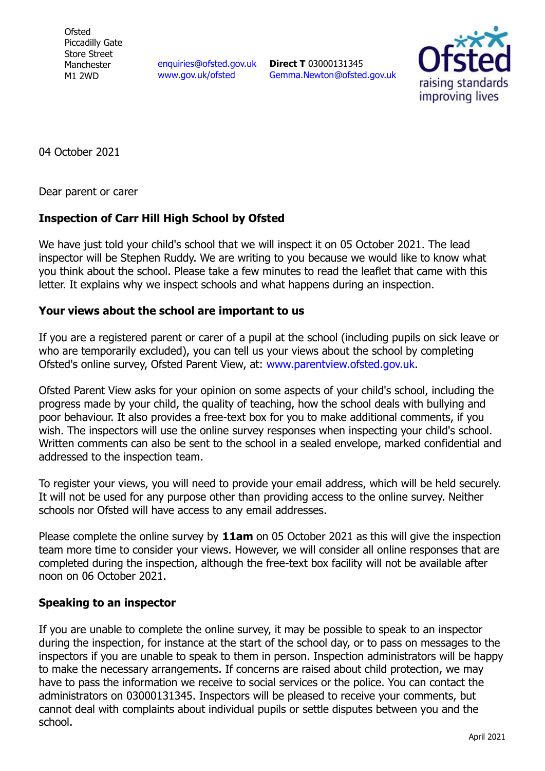**Ofsted** Piccadilly Gate Store Street Manchester M1 2WD

[enquiries@ofsted.gov.uk](mailto:enquiries@ofsted.gov.uk) [www.gov.uk/ofsted](http://www.gov.uk/ofsted)

**Direct T** 03000131345 [Gemma.Newton@ofsted.gov.uk](mailto:Gemma.Newton@ofsted.gov.uk)



04 October 2021

Dear parent or carer

## **Inspection of Carr Hill High School by Ofsted**

We have just told your child's school that we will inspect it on 05 October 2021. The lead inspector will be Stephen Ruddy. We are writing to you because we would like to know what you think about the school. Please take a few minutes to read the leaflet that came with this letter. It explains why we inspect schools and what happens during an inspection.

## **Your views about the school are important to us**

If you are a registered parent or carer of a pupil at the school (including pupils on sick leave or who are temporarily excluded), you can tell us your views about the school by completing Ofsted's online survey, Ofsted Parent View, at: [www.parentview.ofsted.gov.uk.](http://www.parentview.ofsted.gov.uk/)

Ofsted Parent View asks for your opinion on some aspects of your child's school, including the progress made by your child, the quality of teaching, how the school deals with bullying and poor behaviour. It also provides a free-text box for you to make additional comments, if you wish. The inspectors will use the online survey responses when inspecting your child's school. Written comments can also be sent to the school in a sealed envelope, marked confidential and addressed to the inspection team.

To register your views, you will need to provide your email address, which will be held securely. It will not be used for any purpose other than providing access to the online survey. Neither schools nor Ofsted will have access to any email addresses.

Please complete the online survey by **11am** on 05 October 2021 as this will give the inspection team more time to consider your views. However, we will consider all online responses that are completed during the inspection, although the free-text box facility will not be available after noon on 06 October 2021.

## **Speaking to an inspector**

If you are unable to complete the online survey, it may be possible to speak to an inspector during the inspection, for instance at the start of the school day, or to pass on messages to the inspectors if you are unable to speak to them in person. Inspection administrators will be happy to make the necessary arrangements. If concerns are raised about child protection, we may have to pass the information we receive to social services or the police. You can contact the administrators on 03000131345. Inspectors will be pleased to receive your comments, but cannot deal with complaints about individual pupils or settle disputes between you and the school.